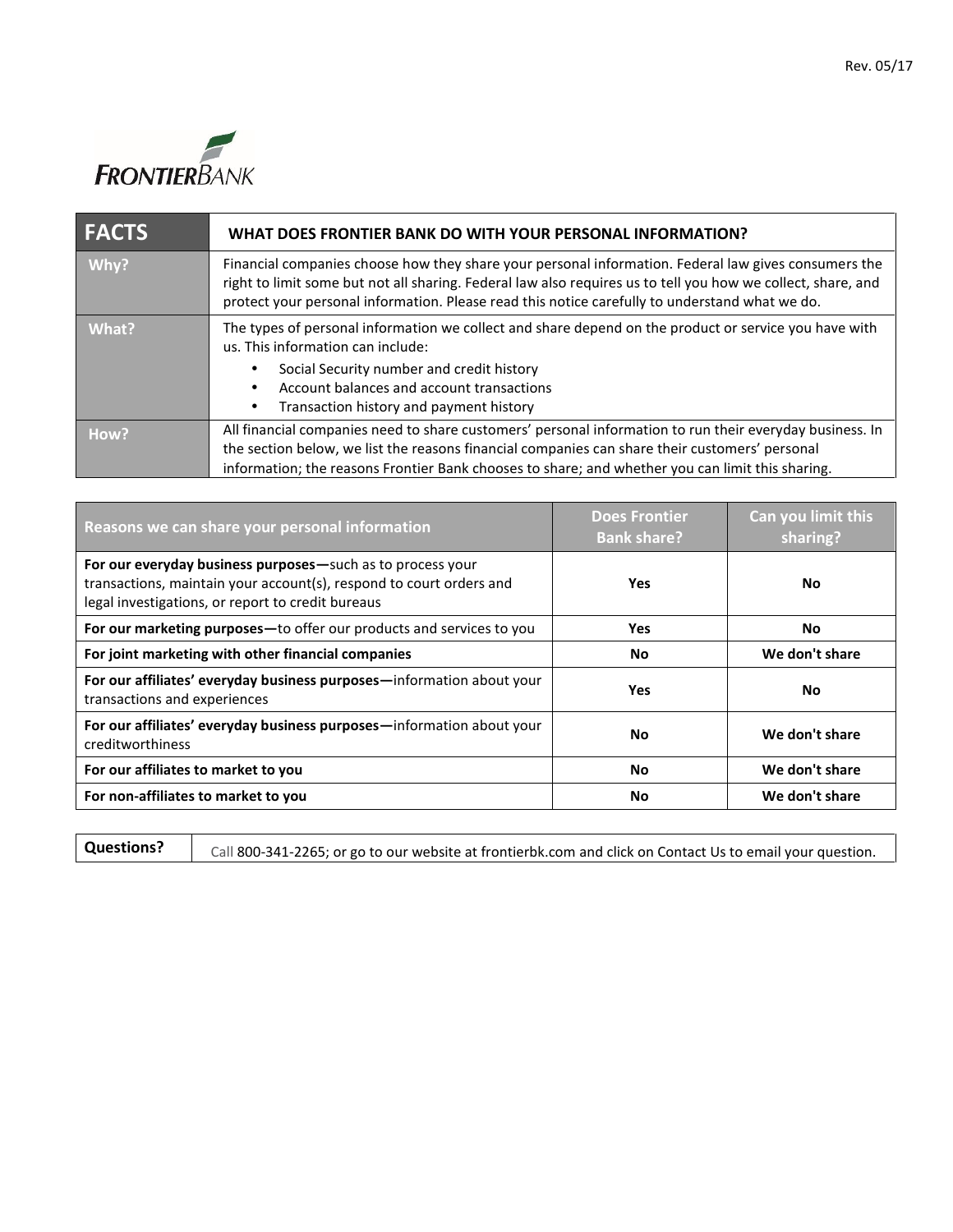

| <b>FACTS</b> | WHAT DOES FRONTIER BANK DO WITH YOUR PERSONAL INFORMATION?                                                                                                                                                                                                                                                             |
|--------------|------------------------------------------------------------------------------------------------------------------------------------------------------------------------------------------------------------------------------------------------------------------------------------------------------------------------|
| Why?         | Financial companies choose how they share your personal information. Federal law gives consumers the<br>right to limit some but not all sharing. Federal law also requires us to tell you how we collect, share, and<br>protect your personal information. Please read this notice carefully to understand what we do. |
| What?        | The types of personal information we collect and share depend on the product or service you have with<br>us. This information can include:<br>Social Security number and credit history<br>Account balances and account transactions<br>Transaction history and payment history                                        |
| How?         | All financial companies need to share customers' personal information to run their everyday business. In<br>the section below, we list the reasons financial companies can share their customers' personal<br>information; the reasons Frontier Bank chooses to share; and whether you can limit this sharing.         |

| Reasons we can share your personal information                                                                                                                                         | <b>Does Frontier</b><br><b>Bank share?</b> | Can you limit this<br>sharing? |
|----------------------------------------------------------------------------------------------------------------------------------------------------------------------------------------|--------------------------------------------|--------------------------------|
| For our everyday business purposes-such as to process your<br>transactions, maintain your account(s), respond to court orders and<br>legal investigations, or report to credit bureaus | <b>Yes</b>                                 | <b>No</b>                      |
| For our marketing purposes-to offer our products and services to you                                                                                                                   | <b>Yes</b>                                 | No                             |
| For joint marketing with other financial companies                                                                                                                                     | <b>No</b>                                  | We don't share                 |
| For our affiliates' everyday business purposes-information about your<br>transactions and experiences                                                                                  | <b>Yes</b>                                 | <b>No</b>                      |
| For our affiliates' everyday business purposes-information about your<br>creditworthiness                                                                                              | No.                                        | We don't share                 |
| For our affiliates to market to you                                                                                                                                                    | No                                         | We don't share                 |
| For non-affiliates to market to you                                                                                                                                                    | No                                         | We don't share                 |

**Questions?** Call 800-341-2265; or go to our website at frontierbk.com and click on Contact Us to email your question.